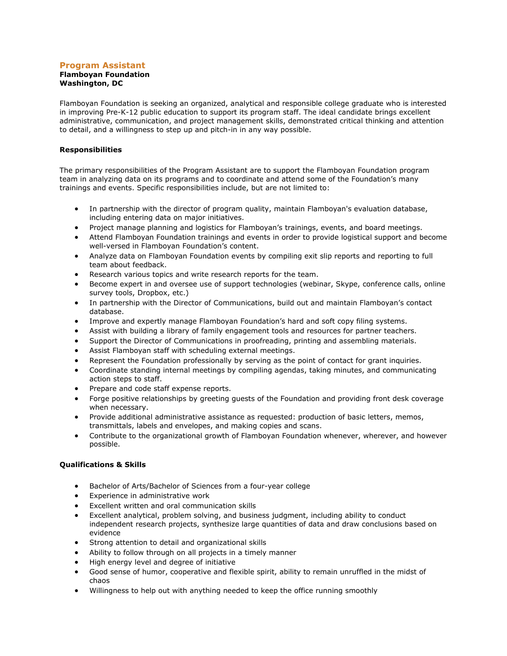### **Program Assistant Flamboyan Foundation Washington, DC**

Flamboyan Foundation is seeking an organized, analytical and responsible college graduate who is interested in improving Pre-K-12 public education to support its program staff. The ideal candidate brings excellent administrative, communication, and project management skills, demonstrated critical thinking and attention to detail, and a willingness to step up and pitch-in in any way possible.

## **Responsibilities**

The primary responsibilities of the Program Assistant are to support the Flamboyan Foundation program team in analyzing data on its programs and to coordinate and attend some of the Foundation's many trainings and events. Specific responsibilities include, but are not limited to:

- In partnership with the director of program quality, maintain Flamboyan's evaluation database, including entering data on major initiatives.
- Project manage planning and logistics for Flamboyan's trainings, events, and board meetings.
- Attend Flamboyan Foundation trainings and events in order to provide logistical support and become well-versed in Flamboyan Foundation's content.
- Analyze data on Flamboyan Foundation events by compiling exit slip reports and reporting to full team about feedback.
- Research various topics and write research reports for the team.
- Become expert in and oversee use of support technologies (webinar, Skype, conference calls, online survey tools, Dropbox, etc.)
- In partnership with the Director of Communications, build out and maintain Flamboyan's contact database.
- Improve and expertly manage Flamboyan Foundation's hard and soft copy filing systems.
- Assist with building a library of family engagement tools and resources for partner teachers.
- Support the Director of Communications in proofreading, printing and assembling materials.
- Assist Flamboyan staff with scheduling external meetings.
- Represent the Foundation professionally by serving as the point of contact for grant inquiries.
- Coordinate standing internal meetings by compiling agendas, taking minutes, and communicating action steps to staff.
- Prepare and code staff expense reports.
- Forge positive relationships by greeting guests of the Foundation and providing front desk coverage when necessary.
- Provide additional administrative assistance as requested: production of basic letters, memos, transmittals, labels and envelopes, and making copies and scans.
- Contribute to the organizational growth of Flamboyan Foundation whenever, wherever, and however possible.

# **Qualifications & Skills**

- Bachelor of Arts/Bachelor of Sciences from a four-year college
- Experience in administrative work
- Excellent written and oral communication skills
- Excellent analytical, problem solving, and business judgment, including ability to conduct independent research projects, synthesize large quantities of data and draw conclusions based on evidence
- Strong attention to detail and organizational skills
- Ability to follow through on all projects in a timely manner
- High energy level and degree of initiative
- Good sense of humor, cooperative and flexible spirit, ability to remain unruffled in the midst of chaos
- Willingness to help out with anything needed to keep the office running smoothly